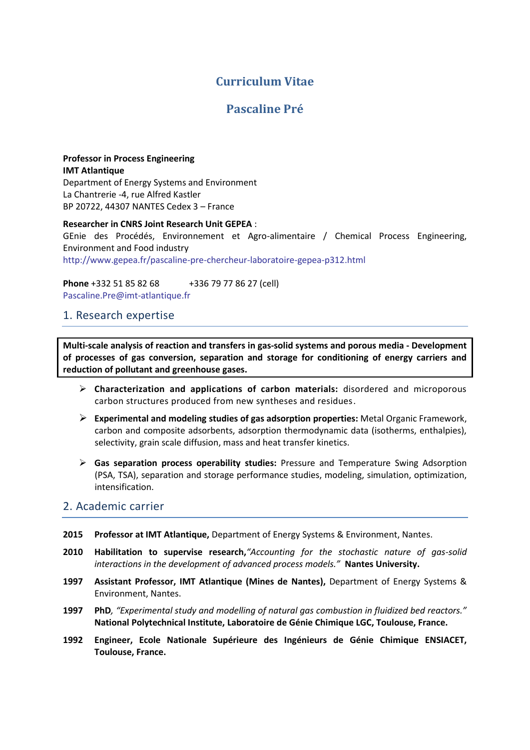# **Curriculum Vitae**

# **Pascaline Pré**

### **Professor in Process Engineering IMT Atlantique** Department of Energy Systems and Environment

La Chantrerie -4, rue Alfred Kastler BP 20722, 44307 NANTES Cedex 3 – France

**Researcher in CNRS Joint Research Unit GEPEA** : GEnie des Procédés, Environnement et Agro-alimentaire / Chemical Process Engineering, Environment and Food industry <http://www.gepea.fr/pascaline-pre-chercheur-laboratoire-gepea-p312.html>

**Phone** +332 51 85 82 68 +336 79 77 86 27 (cell) [Pascaline.Pre@imt-atlantique.fr](mailto:Pascaline.Pre@imt-atlantique.fr)

### 1. Research expertise

**Multi-scale analysis of reaction and transfers in gas-solid systems and porous media - Development of processes of gas conversion, separation and storage for conditioning of energy carriers and reduction of pollutant and greenhouse gases.**

- **Characterization and applications of carbon materials:** disordered and microporous carbon structures produced from new syntheses and residues.
- **Experimental and modeling studies of gas adsorption properties:** Metal Organic Framework, carbon and composite adsorbents, adsorption thermodynamic data (isotherms, enthalpies), selectivity, grain scale diffusion, mass and heat transfer kinetics.
- **Gas separation process operability studies:** Pressure and Temperature Swing Adsorption (PSA, TSA), separation and storage performance studies, modeling, simulation, optimization, intensification.

### 2. Academic carrier

- **2015 Professor at IMT Atlantique,** Department of Energy Systems & Environment, Nantes.
- **2010 Habilitation to supervise research,***"Accounting for the stochastic nature of gas-solid interactions in the development of advanced process models."* **Nantes University.**
- **1997 Assistant Professor, IMT Atlantique (Mines de Nantes),** Department of Energy Systems & Environment, Nantes.
- **1997 PhD***, "Experimental study and modelling of natural gas combustion in fluidized bed reactors."*  **National Polytechnical Institute, Laboratoire de Génie Chimique LGC, Toulouse, France.**
- **1992 Engineer, Ecole Nationale Supérieure des Ingénieurs de Génie Chimique ENSIACET, Toulouse, France.**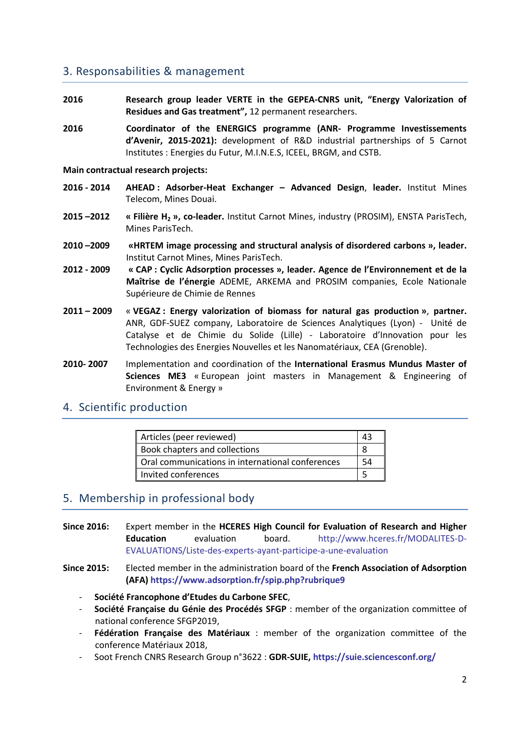## 3. Responsabilities & management

- **2016 Research group leader VERTE in the GEPEA-CNRS unit, "Energy Valorization of Residues and Gas treatment",** 12 permanent researchers.
- **2016 Coordinator of the ENERGICS programme (ANR- Programme Investissements d'Avenir, 2015-2021):** development of R&D industrial partnerships of 5 Carnot Institutes : Energies du Futur, M.I.N.E.S, ICEEL, BRGM, and CSTB.

#### **Main contractual research projects:**

- **2016 - 2014 AHEAD : Adsorber-Heat Exchanger – Advanced Design**, **leader.** Institut Mines Telecom, Mines Douai.
- **2015 –2012 « Filière H<sup>2</sup> », co-leader.** Institut Carnot Mines, industry (PROSIM), ENSTA ParisTech, Mines ParisTech.
- **2010 –2009 «HRTEM image processing and structural analysis of disordered carbons », leader.**  Institut Carnot Mines, Mines ParisTech.
- **2012 - 2009 « CAP : Cyclic Adsorption processes », leader. Agence de l'Environnement et de la Maîtrise de l'énergie** ADEME, ARKEMA and PROSIM companies, Ecole Nationale Supérieure de Chimie de Rennes
- **2011 – 2009** « **VEGAZ : Energy valorization of biomass for natural gas production »**, **partner.** ANR, GDF-SUEZ company, Laboratoire de Sciences Analytiques (Lyon) - Unité de Catalyse et de Chimie du Solide (Lille) - Laboratoire d'Innovation pour les Technologies des Energies Nouvelles et les Nanomatériaux, CEA (Grenoble).
- **2010- 2007** Implementation and coordination of the **International Erasmus Mundus Master of Sciences ME3** « European joint masters in Management & Engineering of Environment & Energy »

### 4. Scientific production

| Articles (peer reviewed)                         | 43 |
|--------------------------------------------------|----|
| Book chapters and collections                    |    |
| Oral communications in international conferences | 54 |
| Invited conferences                              |    |

### 5. Membership in professional body

- **Since 2016:** Expert member in the **HCERES High Council for Evaluation of Research and Higher Education** evaluation board. [http://www.hceres.fr/MODALITES-D-](http://www.hceres.fr/MODALITES-D-EVALUATIONS/Liste-des-experts-ayant-participe-a-une-evaluation)[EVALUATIONS/Liste-des-experts-ayant-participe-a-une-evaluation](http://www.hceres.fr/MODALITES-D-EVALUATIONS/Liste-des-experts-ayant-participe-a-une-evaluation)
- **Since 2015:** Elected member in the administration board of the **French Association of Adsorption (AFA) <https://www.adsorption.fr/spip.php?rubrique9>**
	- ‐ **Société Francophone d'Etudes du Carbone SFEC**,
	- ‐ **Société Française du Génie des Procédés SFGP** : member of the organization committee of national conference SFGP2019,
	- ‐ **Fédération Française des Matériaux** : member of the organization committee of the conference Matériaux 2018,
	- ‐ Soot French CNRS Research Group n°3622 : **GDR-SUIE, <https://suie.sciencesconf.org/>**